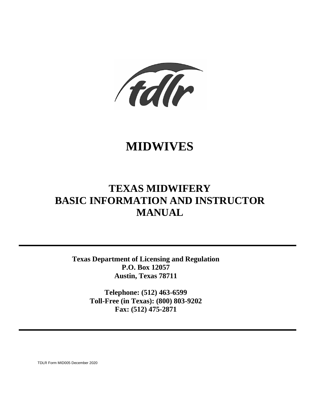felle

# **MIDWIVES**

# **TEXAS MIDWIFERY BASIC INFORMATION AND INSTRUCTOR MANUAL**

**Texas Department of Licensing and Regulation P.O. Box 12057 Austin, Texas 78711**

> **Telephone: (512) 463-6599 Toll-Free (in Texas): (800) 803-9202 Fax: (512) 475-2871**

TDLR Form MID005 December 2020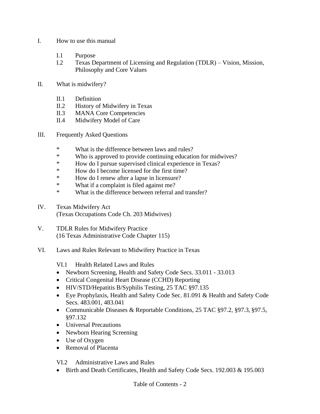- I. How to use this manual
	- I.1 Purpose
	- I.2 Texas Department of Licensing and Regulation (TDLR) Vision, Mission, Philosophy and Core Values
- II. What is midwifery?
	- II.1 Definition
	- II.2 History of Midwifery in Texas
	- II.3 MANA Core Competencies
	- II.4 Midwifery Model of Care
- III. Frequently Asked Questions
	- \* What is the difference between laws and rules?
	- \* Who is approved to provide continuing education for midwives?
	- \* How do I pursue supervised clinical experience in Texas?
	- \* How do I become licensed for the first time?
	- \* How do I renew after a lapse in licensure?
	- \* What if a complaint is filed against me?
	- \* What is the difference between referral and transfer?
- IV. Texas Midwifery Act (Texas Occupations Code Ch. 203 Midwives)
- V. TDLR Rules for Midwifery Practice (16 Texas Administrative Code Chapter 115)
- VI. Laws and Rules Relevant to Midwifery Practice in Texas

VI.1 Health Related Laws and Rules

- Newborn Screening, Health and Safety Code Secs. 33.011 33.013
- Critical Congenital Heart Disease (CCHD) Reporting
- HIV/STD/Hepatitis B/Syphilis Testing, 25 TAC §97.135
- Eye Prophylaxis, Health and Safety Code Sec. 81.091 & Health and Safety Code Secs. 483.001, 483.041
- Communicable Diseases & Reportable Conditions, 25 TAC §97.2, §97.3, §97.5, §97.132
- Universal Precautions
- Newborn Hearing Screening
- Use of Oxygen
- Removal of Placenta

VI.2 Administrative Laws and Rules

• Birth and Death Certificates, Health and Safety Code Secs. 192.003 & 195.003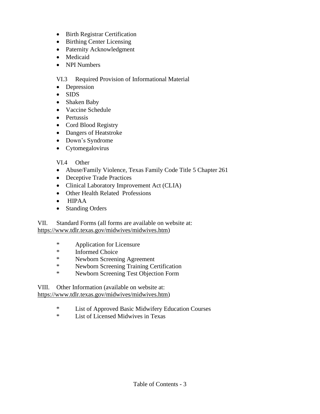- Birth Registrar Certification
- Birthing Center Licensing
- Paternity Acknowledgment
- Medicaid
- NPI Numbers

# VI.3 Required Provision of Informational Material

- Depression
- SIDS
- Shaken Baby
- Vaccine Schedule
- Pertussis
- Cord Blood Registry
- Dangers of Heatstroke
- Down's Syndrome
- Cytomegalovirus

# VI.4 Other

- Abuse/Family Violence, Texas Family Code Title 5 Chapter 261
- Deceptive Trade Practices
- Clinical Laboratory Improvement Act (CLIA)
- Other Health Related Professions
- HIPAA
- Standing Orders

VII. Standard Forms (all forms are available on website at: [https://www.tdlr.texas.gov/midwives/midwives.htm\)](http://www.tdlr.texas.gov/midwives/midwives.htm))

- \* Application for Licensure
- \* Informed Choice
- \* Newborn Screening Agreement<br>
\* Newborn Screening Training Ce
- Newborn Screening Training Certification
- \* Newborn Screening Test Objection Form

VIII. Other Information (available on website at: [https://www.tdlr.texas.gov/midwives/midwives.htm\)](http://www.tdlr.texas.gov/midwives/midwives.htm))

- \* List of Approved Basic Midwifery Education Courses
- \* List of Licensed Midwives in Texas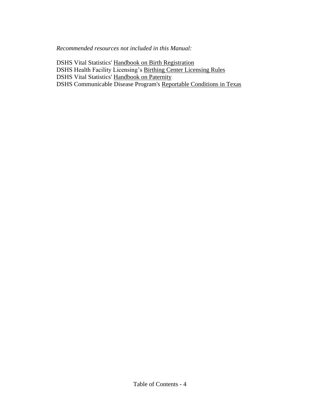*Recommended resources not included in this Manual:*

DSHS Vital Statistics' Handbook on Birth Registration DSHS Health Facility Licensing's Birthing Center Licensing Rules DSHS Vital Statistics' Handbook on Paternity DSHS Communicable Disease Program's Reportable Conditions in Texas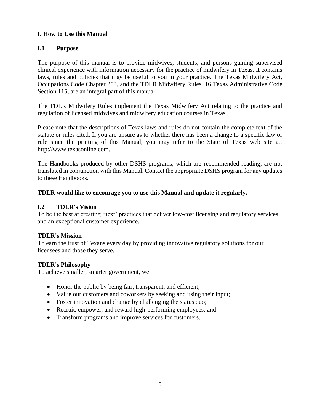# **I. How to Use this Manual**

# **I.1 Purpose**

The purpose of this manual is to provide midwives, students, and persons gaining supervised clinical experience with information necessary for the practice of midwifery in Texas. It contains laws, rules and policies that may be useful to you in your practice. The Texas Midwifery Act, Occupations Code Chapter 203, and the TDLR Midwifery Rules, 16 Texas Administrative Code Section 115, are an integral part of this manual.

The TDLR Midwifery Rules implement the Texas Midwifery Act relating to the practice and regulation of licensed midwives and midwifery education courses in Texas.

Please note that the descriptions of Texas laws and rules do not contain the complete text of the statute or rules cited. If you are unsure as to whether there has been a change to a specific law or rule since the printing of this Manual, you may refer to the State of Texas web site at: [http://www.texasonline.com.](http://www.texasonline.com/)

The Handbooks produced by other DSHS programs, which are recommended reading, are not translated in conjunction with this Manual. Contact the appropriate DSHS program for any updates to these Handbooks.

## **TDLR would like to encourage you to use this Manual and update it regularly.**

#### **I.2 TDLR's Vision**

To be the best at creating 'next' practices that deliver low-cost licensing and regulatory services and an exceptional customer experience.

## **TDLR's Mission**

To earn the trust of Texans every day by providing innovative regulatory solutions for our licensees and those they serve.

## **TDLR's Philosophy**

To achieve smaller, smarter government, we:

- Honor the public by being fair, transparent, and efficient;
- Value our customers and coworkers by seeking and using their input;
- Foster innovation and change by challenging the status quo;
- Recruit, empower, and reward high-performing employees; and
- Transform programs and improve services for customers.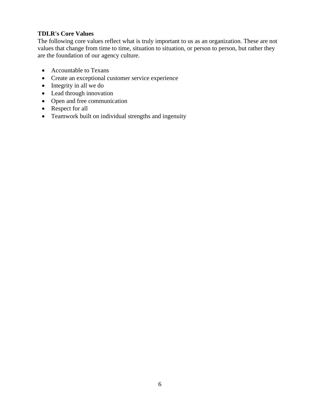# **TDLR's Core Values**

The following core values reflect what is truly important to us as an organization. These are not values that change from time to time, situation to situation, or person to person, but rather they are the foundation of our agency culture.

- Accountable to Texans
- Create an exceptional customer service experience
- Integrity in all we do
- Lead through innovation
- Open and free communication
- Respect for all
- Teamwork built on individual strengths and ingenuity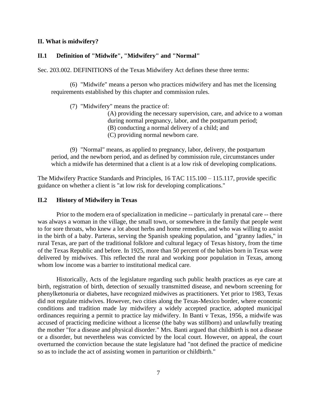#### **II. What is midwifery?**

#### **II.1 Definition of "Midwife", "Midwifery" and "Normal"**

Sec. 203.002. DEFINITIONS of the Texas Midwifery Act defines these three terms:

(6) "Midwife" means a person who practices midwifery and has met the licensing requirements established by this chapter and commission rules.

(7) "Midwifery" means the practice of:

(A) providing the necessary supervision, care, and advice to a woman during normal pregnancy, labor, and the postpartum period; (B) conducting a normal delivery of a child; and

(C) providing normal newborn care.

(9) "Normal" means, as applied to pregnancy, labor, delivery, the postpartum period, and the newborn period, and as defined by commission rule, circumstances under which a midwife has determined that a client is at a low risk of developing complications.

The Midwifery Practice Standards and Principles, 16 TAC 115.100 – 115.117, provide specific guidance on whether a client is "at low risk for developing complications."

#### **II.2 History of Midwifery in Texas**

Prior to the modern era of specialization in medicine -- particularly in prenatal care -- there was always a woman in the village, the small town, or somewhere in the family that people went to for sore throats, who knew a lot about herbs and home remedies, and who was willing to assist in the birth of a baby. Parteras, serving the Spanish speaking population, and "granny ladies," in rural Texas, are part of the traditional folklore and cultural legacy of Texas history, from the time of the Texas Republic and before. In 1925, more than 50 percent of the babies born in Texas were delivered by midwives. This reflected the rural and working poor population in Texas, among whom low income was a barrier to institutional medical care.

Historically, Acts of the legislature regarding such public health practices as eye care at birth, registration of birth, detection of sexually transmitted disease, and newborn screening for phenylketonuria or diabetes, have recognized midwives as practitioners. Yet prior to 1983, Texas did not regulate midwives. However, two cities along the Texas-Mexico border, where economic conditions and tradition made lay midwifery a widely accepted practice, adopted municipal ordinances requiring a permit to practice lay midwifery. In Banti v Texas, 1956, a midwife was accused of practicing medicine without a license (the baby was stillborn) and unlawfully treating the mother "for a disease and physical disorder." Mrs. Banti argued that childbirth is not a disease or a disorder, but nevertheless was convicted by the local court. However, on appeal, the court overturned the conviction because the state legislature had "not defined the practice of medicine so as to include the act of assisting women in parturition or childbirth."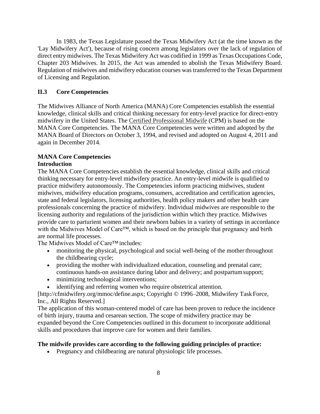In 1983, the Texas Legislature passed the Texas Midwifery Act (at the time known as the 'Lay Midwifery Act'), because of rising concern among legislators over the lack of regulation of direct entry midwives. The Texas Midwifery Act was codified in 1999 as Texas Occupations Code, Chapter 203 Midwives. In 2015, the Act was amended to abolish the Texas Midwifery Board. Regulation of midwives and midwifery education courses was transferred to the Texas Department of Licensing and Regulation.

#### **II.3 Core Competencies**

The Midwives Alliance of North America (MANA) Core Competencies establish the essential knowledge, clinical skills and critical thinking necessary for entry-level practice for direct-entry midwifery in the United States. The Certified Professional Midwife (CPM) is based on the MANA Core Competencies. The MANA Core Competencies were written and adopted by the MANA Board of Directors on October 3, 1994, and revised and adopted on August 4, 2011 and again in December 2014.

#### **MANA Core Competencies**

#### **Introduction**

The MANA Core Competencies establish the essential knowledge, clinical skills and critical thinking necessary for entry-level midwifery practice. An entry-level midwife is qualified to practice midwifery autonomously. The Competencies inform practicing midwives, student midwives, midwifery education programs, consumers, accreditation and certification agencies, state and federal legislators, licensing authorities, health policy makers and other health care professionals concerning the practice of midwifery. Individual midwives are responsible to the licensing authority and regulations of the jurisdiction within which they practice. Midwives provide care to parturient women and their newborn babies in a variety of settings in accordance with the Midwives Model of Care™, which is based on the principle that pregnancy and birth are normal life processes.

The Midwives Model of Care™ includes:

- monitoring the physical, psychological and social well-being of the mother throughout the childbearing cycle;
- providing the mother with individualized education, counseling and prenatal care; continuous hands-on assistance during labor and delivery; and postpartumsupport;
- minimizing technological interventions;
- identifying and referring women who require obstetrical attention.

[\[http://cfmidwifery.org/mmoc/define.aspx; C](http://cfmidwifery.org/mmoc/define.aspx%3B)opyright © 1996–2008, Midwifery Task Force, Inc., All Rights Reserved.]

The application of this woman-centered model of care has been proven to reduce the incidence of birth injury, trauma and cesarean section. The scope of midwifery practice may be expanded beyond the Core Competencies outlined in this document to incorporate additional skills and procedures that improve care for women and their families.

#### **The midwife provides care according to the following guiding principles of practice:**

• Pregnancy and childbearing are natural physiologic life processes.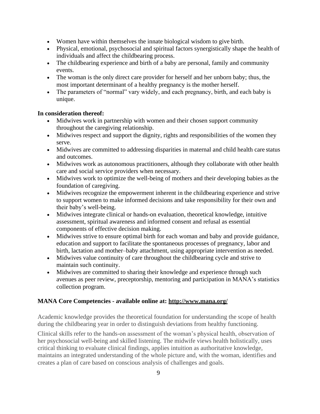- Women have within themselves the innate biological wisdom to give birth.
- Physical, emotional, psychosocial and spiritual factors synergistically shape the health of individuals and affect the childbearing process.
- The childbearing experience and birth of a baby are personal, family and community events.
- The woman is the only direct care provider for herself and her unborn baby; thus, the most important determinant of a healthy pregnancy is the mother herself.
- The parameters of "normal" vary widely, and each pregnancy, birth, and each baby is unique.

#### **In consideration thereof:**

- Midwives work in partnership with women and their chosen support community throughout the caregiving relationship.
- Midwives respect and support the dignity, rights and responsibilities of the women they serve.
- Midwives are committed to addressing disparities in maternal and child health care status and outcomes.
- Midwives work as autonomous practitioners, although they collaborate with other health care and social service providers when necessary.
- Midwives work to optimize the well-being of mothers and their developing babies as the foundation of caregiving.
- Midwives recognize the empowerment inherent in the childbearing experience and strive to support women to make informed decisions and take responsibility for their own and their baby's well-being.
- Midwives integrate clinical or hands-on evaluation, theoretical knowledge, intuitive assessment, spiritual awareness and informed consent and refusal as essential components of effective decision making.
- Midwives strive to ensure optimal birth for each woman and baby and provide guidance, education and support to facilitate the spontaneous processes of pregnancy, labor and birth, lactation and mother–baby attachment, using appropriate intervention as needed.
- Midwives value continuity of care throughout the childbearing cycle and strive to maintain such continuity.
- Midwives are committed to sharing their knowledge and experience through such avenues as peer review, preceptorship, mentoring and participation in MANA's statistics collection program.

## **MANA Core Competencies - available online at:<http://www.mana.org/>**

Academic knowledge provides the theoretical foundation for understanding the scope of health during the childbearing year in order to distinguish deviations from healthy functioning.

Clinical skills refer to the hands-on assessment of the woman's physical health, observation of her psychosocial well-being and skilled listening. The midwife views health holistically, uses critical thinking to evaluate clinical findings, applies intuition as authoritative knowledge, maintains an integrated understanding of the whole picture and, with the woman, identifies and creates a plan of care based on conscious analysis of challenges and goals.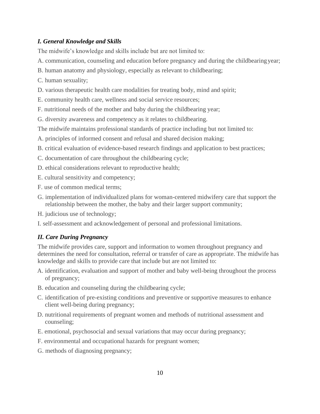#### *I. General Knowledge and Skills*

The midwife's knowledge and skills include but are not limited to:

- A. communication, counseling and education before pregnancy and during the childbearingyear;
- B. human anatomy and physiology, especially as relevant to childbearing;
- C. human sexuality;
- D. various therapeutic health care modalities for treating body, mind and spirit;
- E. community health care, wellness and social service resources;
- F. nutritional needs of the mother and baby during the childbearing year;
- G. diversity awareness and competency as it relates to childbearing.
- The midwife maintains professional standards of practice including but not limited to:
- A. principles of informed consent and refusal and shared decision making;
- B. critical evaluation of evidence-based research findings and application to best practices;
- C. documentation of care throughout the childbearing cycle;
- D. ethical considerations relevant to reproductive health;
- E. cultural sensitivity and competency;
- F. use of common medical terms;
- G. implementation of individualized plans for woman-centered midwifery care that support the relationship between the mother, the baby and their larger support community;
- H. judicious use of technology;
- I. self-assessment and acknowledgement of personal and professional limitations.

## *II. Care During Pregnancy*

The midwife provides care, support and information to women throughout pregnancy and determines the need for consultation, referral or transfer of care as appropriate. The midwife has knowledge and skills to provide care that include but are not limited to:

- A. identification, evaluation and support of mother and baby well-being throughout the process of pregnancy;
- B. education and counseling during the childbearing cycle;
- C. identification of pre-existing conditions and preventive or supportive measures to enhance client well-being during pregnancy;
- D. nutritional requirements of pregnant women and methods of nutritional assessment and counseling;
- E. emotional, psychosocial and sexual variations that may occur during pregnancy;
- F. environmental and occupational hazards for pregnant women;
- G. methods of diagnosing pregnancy;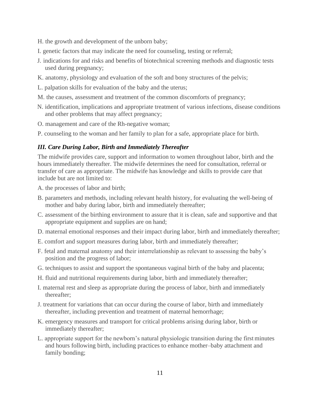- H. the growth and development of the unborn baby;
- I. genetic factors that may indicate the need for counseling, testing or referral;
- J. indications for and risks and benefits of biotechnical screening methods and diagnostic tests used during pregnancy;
- K. anatomy, physiology and evaluation of the soft and bony structures of the pelvis;
- L. palpation skills for evaluation of the baby and the uterus;
- M. the causes, assessment and treatment of the common discomforts of pregnancy;
- N. identification, implications and appropriate treatment of various infections, disease conditions and other problems that may affect pregnancy;
- O. management and care of the Rh-negative woman;
- P. counseling to the woman and her family to plan for a safe, appropriate place for birth.

#### *III. Care During Labor, Birth and Immediately Thereafter*

The midwife provides care, support and information to women throughout labor, birth and the hours immediately thereafter. The midwife determines the need for consultation, referral or transfer of care as appropriate. The midwife has knowledge and skills to provide care that include but are not limited to:

A. the processes of labor and birth;

- B. parameters and methods, including relevant health history, for evaluating the well-being of mother and baby during labor, birth and immediately thereafter;
- C. assessment of the birthing environment to assure that it is clean, safe and supportive and that appropriate equipment and supplies are on hand;
- D. maternal emotional responses and their impact during labor, birth and immediately thereafter;
- E. comfort and support measures during labor, birth and immediately thereafter;
- F. fetal and maternal anatomy and their interrelationship as relevant to assessing the baby's position and the progress of labor;
- G. techniques to assist and support the spontaneous vaginal birth of the baby and placenta;
- H. fluid and nutritional requirements during labor, birth and immediately thereafter;
- I. maternal rest and sleep as appropriate during the process of labor, birth and immediately thereafter;
- J. treatment for variations that can occur during the course of labor, birth and immediately thereafter, including prevention and treatment of maternal hemorrhage;
- K. emergency measures and transport for critical problems arising during labor, birth or immediately thereafter;
- L. appropriate support for the newborn's natural physiologic transition during the first minutes and hours following birth, including practices to enhance mother–baby attachment and family bonding;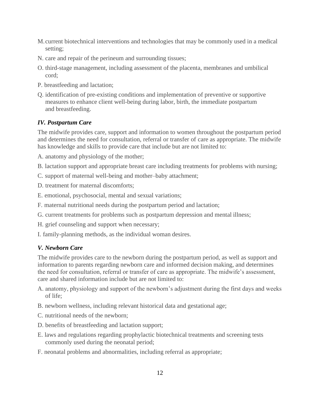- M.current biotechnical interventions and technologies that may be commonly used in a medical setting;
- N. care and repair of the perineum and surrounding tissues;
- O. third-stage management, including assessment of the placenta, membranes and umbilical cord;
- P. breastfeeding and lactation;
- Q. identification of pre-existing conditions and implementation of preventive or supportive measures to enhance client well-being during labor, birth, the immediate postpartum and breastfeeding.

## *IV. Postpartum Care*

The midwife provides care, support and information to women throughout the postpartum period and determines the need for consultation, referral or transfer of care as appropriate. The midwife has knowledge and skills to provide care that include but are not limited to:

- A. anatomy and physiology of the mother;
- B. lactation support and appropriate breast care including treatments for problems with nursing;
- C. support of maternal well-being and mother–baby attachment;
- D. treatment for maternal discomforts;
- E. emotional, psychosocial, mental and sexual variations;
- F. maternal nutritional needs during the postpartum period and lactation;
- G. current treatments for problems such as postpartum depression and mental illness;
- H. grief counseling and support when necessary;
- I. family-planning methods, as the individual woman desires.

## *V. Newborn Care*

The midwife provides care to the newborn during the postpartum period, as well as support and information to parents regarding newborn care and informed decision making, and determines the need for consultation, referral or transfer of care as appropriate. The midwife's assessment, care and shared information include but are not limited to:

- A. anatomy, physiology and support of the newborn's adjustment during the first days and weeks of life;
- B. newborn wellness, including relevant historical data and gestational age;
- C. nutritional needs of the newborn;
- D. benefits of breastfeeding and lactation support;
- E. laws and regulations regarding prophylactic biotechnical treatments and screening tests commonly used during the neonatal period;
- F. neonatal problems and abnormalities, including referral as appropriate;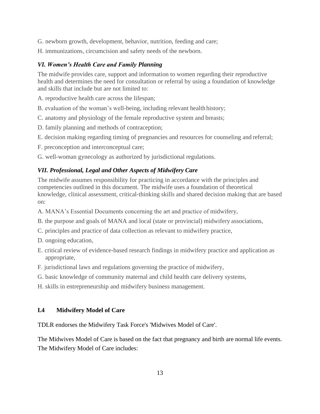G. newborn growth, development, behavior, nutrition, feeding and care;

H. immunizations, circumcision and safety needs of the newborn.

#### *VI. Women's Health Care and Family Planning*

The midwife provides care, support and information to women regarding their reproductive health and determines the need for consultation or referral by using a foundation of knowledge and skills that include but are not limited to:

A. reproductive health care across the lifespan;

B. evaluation of the woman's well-being, including relevant health history;

C. anatomy and physiology of the female reproductive system and breasts;

D. family planning and methods of contraception;

E. decision making regarding timing of pregnancies and resources for counseling and referral;

F. preconception and interconceptual care;

G. well-woman gynecology as authorized by jurisdictional regulations.

#### *VII. Professional, Legal and Other Aspects of Midwifery Care*

The midwife assumes responsibility for practicing in accordance with the principles and competencies outlined in this document. The midwife uses a foundation of theoretical knowledge, clinical assessment, critical-thinking skills and shared decision making that are based on:

A. MANA's Essential Documents concerning the art and practice of midwifery,

B. the purpose and goals of MANA and local (state or provincial) midwifery associations,

C. principles and practice of data collection as relevant to midwifery practice,

D. ongoing education,

- E. critical review of evidence-based research findings in midwifery practice and application as appropriate,
- F. jurisdictional laws and regulations governing the practice of midwifery,
- G. basic knowledge of community maternal and child health care delivery systems,

H. skills in entrepreneurship and midwifery business management.

#### **I.4 Midwifery Model of Care**

TDLR endorses the Midwifery Task Force's 'Midwives Model of Care'.

The Midwives Model of Care is based on the fact that pregnancy and birth are normal life events. The Midwifery Model of Care includes: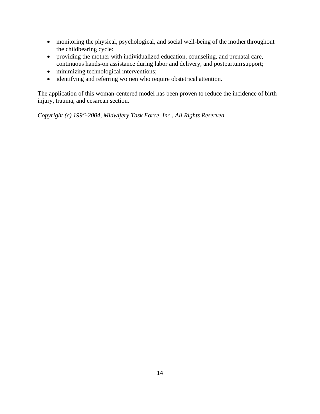- monitoring the physical, psychological, and social well-being of the mother throughout the childbearing cycle:
- providing the mother with individualized education, counseling, and prenatal care, continuous hands-on assistance during labor and delivery, and postpartumsupport;
- minimizing technological interventions;
- identifying and referring women who require obstetrical attention.

The application of this woman-centered model has been proven to reduce the incidence of birth injury, trauma, and cesarean section.

*Copyright (c) 1996-2004, Midwifery Task Force, Inc., All Rights Reserved.*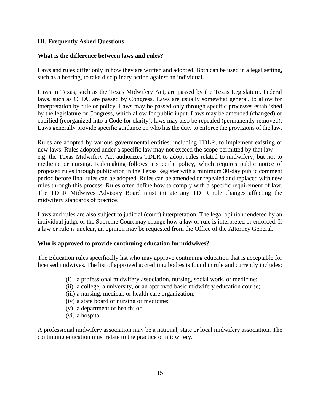#### **III. Frequently Asked Questions**

#### **What is the difference between laws and rules?**

Laws and rules differ only in how they are written and adopted. Both can be used in a legal setting, such as a hearing, to take disciplinary action against an individual.

Laws in Texas, such as the Texas Midwifery Act, are passed by the Texas Legislature. Federal laws, such as CLIA, are passed by Congress. Laws are usually somewhat general, to allow for interpretation by rule or policy. Laws may be passed only through specific processes established by the legislature or Congress, which allow for public input. Laws may be amended (changed) or codified (reorganized into a Code for clarity); laws may also be repealed (permanently removed). Laws generally provide specific guidance on who has the duty to enforce the provisions of the law.

Rules are adopted by various governmental entities, including TDLR, to implement existing or new laws. Rules adopted under a specific law may not exceed the scope permitted by that law e.g. the Texas Midwifery Act authorizes TDLR to adopt rules related to midwifery, but not to medicine or nursing. Rulemaking follows a specific policy, which requires public notice of proposed rules through publication in the Texas Register with a minimum 30-day public comment period before final rules can be adopted. Rules can be amended or repealed and replaced with new rules through this process. Rules often define how to comply with a specific requirement of law. The TDLR Midwives Advisory Board must initiate any TDLR rule changes affecting the midwifery standards of practice.

Laws and rules are also subject to judicial (court) interpretation. The legal opinion rendered by an individual judge or the Supreme Court may change how a law or rule is interpreted or enforced. If a law or rule is unclear, an opinion may be requested from the Office of the Attorney General.

#### **Who is approved to provide continuing education for midwives?**

The Education rules specifically list who may approve continuing education that is acceptable for licensed midwives. The list of approved accrediting bodies is found in rule and currently includes:

- (i) a professional midwifery association, nursing, social work, or medicine;
- (ii) a college, a university, or an approved basic midwifery education course;
- (iii) a nursing, medical, or health care organization;
- (iv) a state board of nursing or medicine;
- (v) a department of health; or
- (vi) a hospital.

A professional midwifery association may be a national, state or local midwifery association. The continuing education must relate to the practice of midwifery.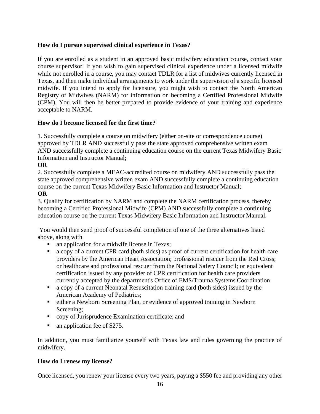# **How do I pursue supervised clinical experience in Texas?**

If you are enrolled as a student in an approved basic midwifery education course, contact your course supervisor. If you wish to gain supervised clinical experience under a licensed midwife while not enrolled in a course, you may contact TDLR for a list of midwives currently licensed in Texas, and then make individual arrangements to work under the supervision of a specific licensed midwife. If you intend to apply for licensure, you might wish to contact the North American Registry of Midwives (NARM) for information on becoming a Certified Professional Midwife (CPM). You will then be better prepared to provide evidence of your training and experience acceptable to NARM.

#### **How do I become licensed for the first time?**

1. Successfully complete a course on midwifery (either on-site or correspondence course) approved by TDLR AND successfully pass the state approved comprehensive written exam AND successfully complete a continuing education course on the current Texas Midwifery Basic Information and Instructor Manual;

#### **OR**

2. Successfully complete a MEAC-accredited course on midwifery AND successfully pass the state approved comprehensive written exam AND successfully complete a continuing education course on the current Texas Midwifery Basic Information and Instructor Manual;

#### **OR**

3. Qualify for certification by NARM and complete the NARM certification process, thereby becoming a Certified Professional Midwife (CPM) AND successfully complete a continuing education course on the current Texas Midwifery Basic Information and Instructor Manual.

You would then send proof of successful completion of one of the three alternatives listed above, along with

- an application for a midwife license in Texas;
- a copy of a current CPR card (both sides) as proof of current certification for health care providers by the American Heart Association; professional rescuer from the Red Cross; or healthcare and professional rescuer from the National Safety Council; or equivalent certification issued by any provider of CPR certification for health care providers currently accepted by the department's Office of EMS/Trauma Systems Coordination
- a copy of a current Neonatal Resuscitation training card (both sides) issued by the American Academy of Pediatrics;
- either a Newborn Screening Plan, or evidence of approved training in Newborn Screening:
- copy of Jurisprudence Examination certificate; and
- an application fee of \$275.

In addition, you must familiarize yourself with Texas law and rules governing the practice of midwifery.

## **How do I renew my license?**

Once licensed, you renew your license every two years, paying a \$550 fee and providing any other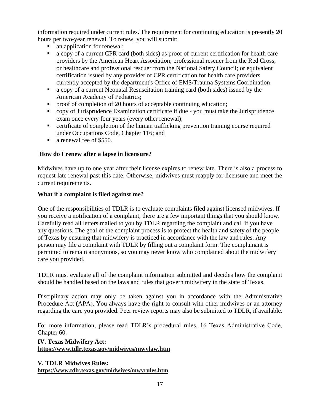information required under current rules. The requirement for continuing education is presently 20 hours per two-year renewal. To renew, you will submit:

- an application for renewal;
- a copy of a current CPR card (both sides) as proof of current certification for health care providers by the American Heart Association; professional rescuer from the Red Cross; or healthcare and professional rescuer from the National Safety Council; or equivalent certification issued by any provider of CPR certification for health care providers currently accepted by the department's Office of EMS/Trauma Systems Coordination
- a copy of a current Neonatal Resuscitation training card (both sides) issued by the American Academy of Pediatrics;
- proof of completion of 20 hours of acceptable continuing education;
- copy of Jurisprudence Examination certificate if due you must take the Jurisprudence exam once every four years (every other renewal);
- certificate of completion of the human trafficking prevention training course required under Occupations Code, Chapter 116; and
- a renewal fee of \$550.

# **How do I renew after a lapse in licensure?**

Midwives have up to one year after their license expires to renew late. There is also a process to request late renewal past this date. Otherwise, midwives must reapply for licensure and meet the current requirements.

## **What if a complaint is filed against me?**

One of the responsibilities of TDLR is to evaluate complaints filed against licensed midwives. If you receive a notification of a complaint, there are a few important things that you should know. Carefully read all letters mailed to you by TDLR regarding the complaint and call if you have any questions. The goal of the complaint process is to protect the health and safety of the people of Texas by ensuring that midwifery is practiced in accordance with the law and rules. Any person may file a complaint with TDLR by filling out a complaint form. The complainant is permitted to remain anonymous, so you may never know who complained about the midwifery care you provided.

TDLR must evaluate all of the complaint information submitted and decides how the complaint should be handled based on the laws and rules that govern midwifery in the state of Texas.

Disciplinary action may only be taken against you in accordance with the Administrative Procedure Act (APA). You always have the right to consult with other midwives or an attorney regarding the care you provided. Peer review reports may also be submitted to TDLR, if available.

For more information, please read TDLR's procedural rules, 16 Texas Administrative Code, Chapter 60.

# **IV. Texas Midwifery Act: [https://www.tdlr.texas.gov/midwi](http://www.tdlr.texas.gov/midwives/mwvlaw.htm)ves/mw[vlaw.htm](http://www.tdlr.texas.gov/midwives/mwvlaw.htm)**

# **V. TDLR Midwives Rules:**

**[https://www.tdlr.texas.gov/midwi](http://www.tdlr.texas.gov/midwives/mwvrules.htm)ves/mw[vrules.htm](http://www.tdlr.texas.gov/midwives/mwvrules.htm)**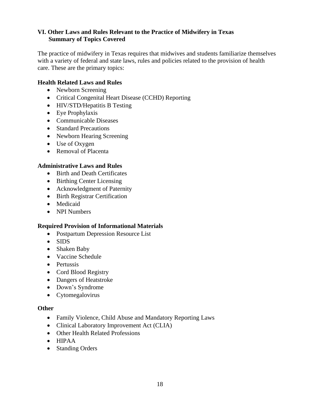## **VI. Other Laws and Rules Relevant to the Practice of Midwifery in Texas Summary of Topics Covered**

The practice of midwifery in Texas requires that midwives and students familiarize themselves with a variety of federal and state laws, rules and policies related to the provision of health care. These are the primary topics:

#### **Health Related Laws and Rules**

- Newborn Screening
- Critical Congenital Heart Disease (CCHD) Reporting
- HIV/STD/Hepatitis B Testing
- Eye Prophylaxis
- Communicable Diseases
- Standard Precautions
- Newborn Hearing Screening
- Use of Oxygen
- Removal of Placenta

#### **Administrative Laws and Rules**

- Birth and Death Certificates
- Birthing Center Licensing
- Acknowledgment of Paternity
- Birth Registrar Certification
- Medicaid
- NPI Numbers

## **Required Provision of Informational Materials**

- Postpartum Depression Resource List
- SIDS
- Shaken Baby
- Vaccine Schedule
- Pertussis
- Cord Blood Registry
- Dangers of Heatstroke
- Down's Syndrome
- Cytomegalovirus

#### **Other**

- Family Violence, Child Abuse and Mandatory Reporting Laws
- Clinical Laboratory Improvement Act (CLIA)
- Other Health Related Professions
- HIPAA
- Standing Orders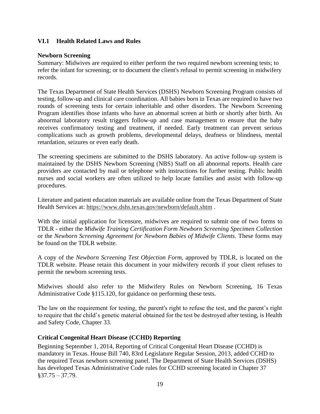#### **VI.1 Health Related Laws and Rules**

#### **Newborn Screening**

Summary: Midwives are required to either perform the two required newborn screening tests; to refer the infant for screening; or to document the client's refusal to permit screening in midwifery records.

The Texas Department of State Health Services (DSHS) Newborn Screening Program consists of testing, follow-up and clinical care coordination. All babies born in Texas are required to have two rounds of screening tests for certain inheritable and other disorders. The Newborn Screening Program identifies those infants who have an abnormal screen at birth or shortly after birth. An abnormal laboratory result triggers follow-up and case management to ensure that the baby receives confirmatory testing and treatment, if needed. Early treatment can prevent serious complications such as growth problems, developmental delays, deafness or blindness, mental retardation, seizures or even early death.

The screening specimens are submitted to the DSHS laboratory. An active follow-up system is maintained by the DSHS Newborn Screening (NBS) Staff on all abnormal reports. Health care providers are contacted by mail or telephone with instructions for further testing. Public health nurses and social workers are often utilized to help locate families and assist with follow-up procedures.

Literature and patient education materials are available online from the Texas Department of State Health Services at: [https://www.dshs.texas.gov/newborn/default.shtm](http://www.dshs.texas.gov/newborn/default.shtm) .

With the initial application for licensure, midwives are required to submit one of two forms to TDLR - either the *Midwife Training Certification Form Newborn Screening Specimen Collection*  or the *Newborn Screening Agreement for Newborn Babies of Midwife Clients.* These forms may be found on the TDLR website.

A copy of the *Newborn Screening Test Objection Form,* approved by TDLR, is located on the TDLR website. Please retain this document in your midwifery records if your client refuses to permit the newborn screening tests.

Midwives should also refer to the Midwifery Rules on Newborn Screening, 16 Texas Administrative Code §115.120, for guidance on performing these tests.

The law on the requirement for testing, the parent's right to refuse the test, and the parent's right to require that the child's genetic material obtained for the test be destroyed after testing, is Health and Safety Code, Chapter 33.

## **Critical Congenital Heart Disease (CCHD) Reporting**

Beginning September 1, 2014, Reporting of Critical Congenital Heart Disease (CCHD) is mandatory in Texas. House Bill 740, 83rd Legislature Regular Session, 2013, added CCHD to the required Texas newborn screening panel. The Department of State Health Services (DSHS) has developed Texas Administrative Code rules for CCHD screening located in Chapter 37  $§37.75 - 37.79.$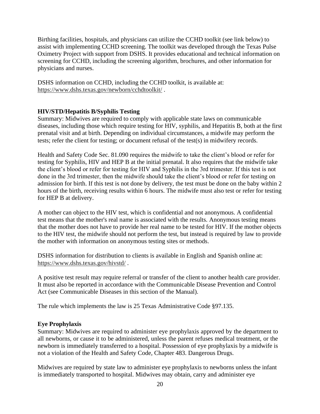Birthing facilities, hospitals, and physicians can utilize the CCHD toolkit (see link below) to assist with implementing CCHD screening. The toolkit was developed through the Texas Pulse Oximetry Project with support from DSHS. It provides educational and technical information on screening for CCHD, including the screening algorithm, brochures, and other information for physicians and nurses.

DSHS information on CCHD, including the CCHD toolkit, is available at: [https://www.dshs.texas.gov/newborn/cchdtoolkit/](http://www.dshs.texas.gov/newborn/cchdtoolkit/) .

#### **HIV/STD/Hepatitis B/Syphilis Testing**

Summary: Midwives are required to comply with applicable state laws on communicable diseases, including those which require testing for HIV, syphilis, and Hepatitis B, both at the first prenatal visit and at birth. Depending on individual circumstances, a midwife may perform the tests; refer the client for testing; or document refusal of the test(s) in midwifery records.

Health and Safety Code Sec. 81.090 requires the midwife to take the client's blood or refer for testing for Syphilis, HIV and HEP B at the initial prenatal. It also requires that the midwife take the client's blood or refer for testing for HIV and Syphilis in the 3rd trimester. If this test is not done in the 3rd trimester, then the midwife should take the client's blood or refer for testing on admission for birth. If this test is not done by delivery, the test must be done on the baby within 2 hours of the birth, receiving results within 6 hours. The midwife must also test or refer for testing for HEP B at delivery.

A mother can object to the HIV test, which is confidential and not anonymous. A confidential test means that the mother's real name is associated with the results. Anonymous testing means that the mother does not have to provide her real name to be tested for HIV. If the mother objects to the HIV test, the midwife should not perform the test, but instead is required by law to provide the mother with information on anonymous testing sites or methods.

DSHS information for distribution to clients is available in English and Spanish online at: [https://www.dshs.texas.gov/hivstd/](http://www.dshs.texas.gov/hivstd/) .

A positive test result may require referral or transfer of the client to another health care provider. It must also be reported in accordance with the Communicable Disease Prevention and Control Act (see Communicable Diseases in this section of the Manual).

The rule which implements the law is 25 Texas Administrative Code §97.135.

## **Eye Prophylaxis**

Summary: Midwives are required to administer eye prophylaxis approved by the department to all newborns, or cause it to be administered, unless the parent refuses medical treatment, or the newborn is immediately transferred to a hospital. Possession of eye prophylaxis by a midwife is not a violation of the Health and Safety Code, Chapter 483. Dangerous Drugs.

Midwives are required by state law to administer eye prophylaxis to newborns unless the infant is immediately transported to hospital. Midwives may obtain, carry and administer eye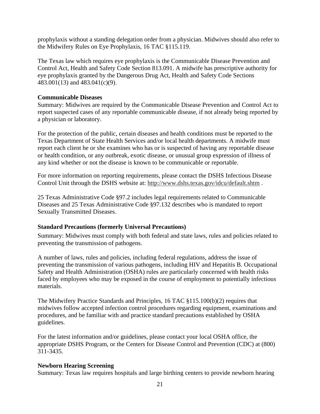prophylaxis without a standing delegation order from a physician. Midwives should also refer to the Midwifery Rules on Eye Prophylaxis, 16 TAC §115.119.

The Texas law which requires eye prophylaxis is the Communicable Disease Prevention and Control Act, Health and Safety Code Section 813.091. A midwife has prescriptive authority for eye prophylaxis granted by the Dangerous Drug Act, Health and Safety Code Sections 483.001(13) and 483.041(c)(9).

#### **Communicable Diseases**

Summary: Midwives are required by the Communicable Disease Prevention and Control Act to report suspected cases of any reportable communicable disease, if not already being reported by a physician or laboratory.

For the protection of the public, certain diseases and health conditions must be reported to the Texas Department of State Health Services and/or local health departments. A midwife must report each client he or she examines who has or is suspected of having any reportable disease or health condition, or any outbreak, exotic disease, or unusual group expression of illness of any kind whether or not the disease is known to be communicable or reportable.

For more information on reporting requirements, please contact the DSHS Infectious Disease Control Unit through the DSHS website at:<http://www.dshs.texas.gov/idcu/default.shtm> .

25 Texas Administrative Code §97.2 includes legal requirements related to Communicable Diseases and 25 Texas Administrative Code §97.132 describes who is mandated to report Sexually Transmitted Diseases.

#### **Standard Precautions (formerly Universal Precautions)**

Summary: Midwives must comply with both federal and state laws, rules and policies related to preventing the transmission of pathogens.

A number of laws, rules and policies, including federal regulations, address the issue of preventing the transmission of various pathogens, including HIV and Hepatitis B. Occupational Safety and Health Administration (OSHA) rules are particularly concerned with health risks faced by employees who may be exposed in the course of employment to potentially infectious materials.

The Midwifery Practice Standards and Principles, 16 TAC §115.100(b)(2) requires that midwives follow accepted infection control procedures regarding equipment, examinations and procedures, and be familiar with and practice standard precautions established by OSHA guidelines.

For the latest information and/or guidelines, please contact your local OSHA office, the appropriate DSHS Program, or the Centers for Disease Control and Prevention (CDC) at (800) 311-3435.

#### **Newborn Hearing Screening**

Summary: Texas law requires hospitals and large birthing centers to provide newborn hearing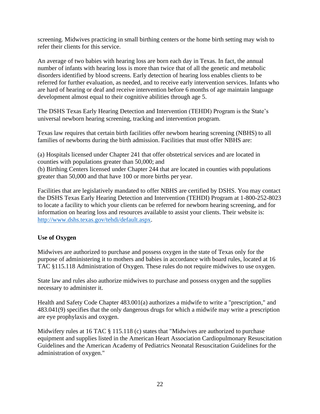screening. Midwives practicing in small birthing centers or the home birth setting may wish to refer their clients for this service.

An average of two babies with hearing loss are born each day in Texas. In fact, the annual number of infants with hearing loss is more than twice that of all the genetic and metabolic disorders identified by blood screens. Early detection of hearing loss enables clients to be referred for further evaluation, as needed, and to receive early intervention services. Infants who are hard of hearing or deaf and receive intervention before 6 months of age maintain language development almost equal to their cognitive abilities through age 5.

The DSHS Texas Early Hearing Detection and Intervention (TEHDI) Program is the State's universal newborn hearing screening, tracking and intervention program.

Texas law requires that certain birth facilities offer newborn hearing screening (NBHS) to all families of newborns during the birth admission. Facilities that must offer NBHS are:

(a) Hospitals licensed under Chapter 241 that offer obstetrical services and are located in counties with populations greater than 50,000; and (b) Birthing Centers licensed under Chapter 244 that are located in counties with populations

greater than 50,000 and that have 100 or more births per year. Facilities that are legislatively mandated to offer NBHS are certified by DSHS. You may contact

the DSHS Texas Early Hearing Detection and Intervention (TEHDI) Program at 1-800-252-8023 to locate a facility to which your clients can be referred for newborn hearing screening, and for information on hearing loss and resources available to assist your clients. Their website is: [http://www.dshs.texas.gov/tehdi/default.aspx.](http://www.dshs.texas.gov/tehdi/default.aspx)

## **Use of Oxygen**

Midwives are authorized to purchase and possess oxygen in the state of Texas only for the purpose of administering it to mothers and babies in accordance with board rules, located at 16 TAC §115.118 Administration of Oxygen. These rules do not require midwives to use oxygen.

State law and rules also authorize midwives to purchase and possess oxygen and the supplies necessary to administer it.

Health and Safety Code Chapter 483.001(a) authorizes a midwife to write a "prescription," and 483.041(9) specifies that the only dangerous drugs for which a midwife may write a prescription are eye prophylaxis and oxygen.

Midwifery rules at 16 TAC § 115.118 (c) states that "Midwives are authorized to purchase equipment and supplies listed in the American Heart Association Cardiopulmonary Resuscitation Guidelines and the American Academy of Pediatrics Neonatal Resuscitation Guidelines for the administration of oxygen."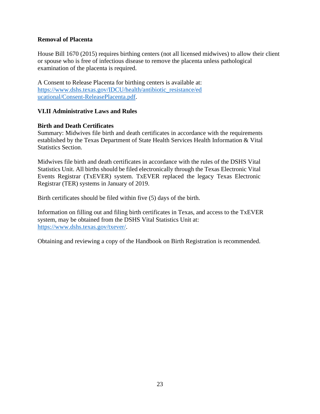#### **Removal of Placenta**

House Bill 1670 (2015) requires birthing centers (not all licensed midwives) to allow their client or spouse who is free of infectious disease to remove the placenta unless pathological examination of the placenta is required.

A Consent to Release Placenta for birthing centers is available at: [https://www.dshs.texas.gov/IDCU/health/antibiotic\\_resistance/ed](https://www.dshs.texas.gov/IDCU/health/antibiotic_resistance/educational/Consent-ReleasePlacenta.pdf) [ucational/Consent-ReleasePlacenta.pdf.](https://www.dshs.texas.gov/IDCU/health/antibiotic_resistance/educational/Consent-ReleasePlacenta.pdf)

## **VI.II Administrative Laws and Rules**

#### **Birth and Death Certificates**

Summary: Midwives file birth and death certificates in accordance with the requirements established by the Texas Department of State Health Services Health Information & Vital Statistics Section.

Midwives file birth and death certificates in accordance with the rules of the DSHS Vital Statistics Unit. All births should be filed electronically through the Texas Electronic Vital Events Registrar (TxEVER) system. TxEVER replaced the legacy Texas Electronic Registrar (TER) systems in January of 2019.

Birth certificates should be filed within five (5) days of the birth.

Information on filling out and filing birth certificates in Texas, and access to the TxEVER system, may be obtained from the DSHS Vital Statistics Unit at: [https://www.dshs.texas.gov/txever/.](https://www.dshs.texas.gov/txever/)

Obtaining and reviewing a copy of the Handbook on Birth Registration is recommended.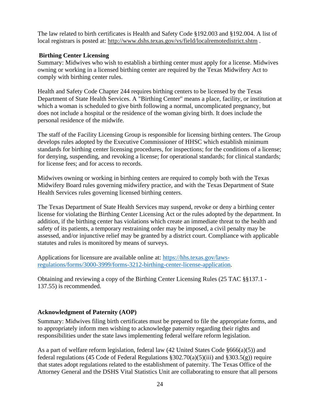The law related to birth certificates is Health and Safety Code §192.003 and §192.004. A list of local registrars is posted at:<http://www.dshs.texas.gov/vs/field/localremotedistrict.shtm> .

#### **Birthing Center Licensing**

Summary: Midwives who wish to establish a birthing center must apply for a license. Midwives owning or working in a licensed birthing center are required by the Texas Midwifery Act to comply with birthing center rules.

Health and Safety Code Chapter 244 requires birthing centers to be licensed by the Texas Department of State Health Services. A "Birthing Center" means a place, facility, or institution at which a woman is scheduled to give birth following a normal, uncomplicated pregnancy, but does not include a hospital or the residence of the woman giving birth. It does include the personal residence of the midwife.

The staff of the Facility Licensing Group is responsible for licensing birthing centers. The Group develops rules adopted by the Executive Commissioner of HHSC which establish minimum standards for birthing center licensing procedures, for inspections; for the conditions of a license; for denying, suspending, and revoking a license; for operational standards; for clinical standards; for license fees; and for access to records.

Midwives owning or working in birthing centers are required to comply both with the Texas Midwifery Board rules governing midwifery practice, and with the Texas Department of State Health Services rules governing licensed birthing centers.

The Texas Department of State Health Services may suspend, revoke or deny a birthing center license for violating the Birthing Center Licensing Act or the rules adopted by the department. In addition, if the birthing center has violations which create an immediate threat to the health and safety of its patients, a temporary restraining order may be imposed, a civil penalty may be assessed, and/or injunctive relief may be granted by a district court. Compliance with applicable statutes and rules is monitored by means of surveys.

Applications for licensure are available online at: [https://hhs.texas.gov/laws](https://hhs.texas.gov/laws-regulations/forms/3000-3999/forms-3212-birthing-center-license-application)[regulations/forms/3000-3999/forms-3212-birthing-center-license-application.](https://hhs.texas.gov/laws-regulations/forms/3000-3999/forms-3212-birthing-center-license-application)

Obtaining and reviewing a copy of the Birthing Center Licensing Rules (25 TAC §§137.1 - 137.55) is recommended.

## **Acknowledgment of Paternity (AOP)**

Summary: Midwives filing birth certificates must be prepared to file the appropriate forms, and to appropriately inform men wishing to acknowledge paternity regarding their rights and responsibilities under the state laws implementing federal welfare reform legislation.

As a part of welfare reform legislation, federal law (42 United States Code §666(a)(5)) and federal regulations (45 Code of Federal Regulations  $\S 302.70(a)(5)(iii)$  and  $\S 303.5(g)$ ) require that states adopt regulations related to the establishment of paternity. The Texas Office of the Attorney General and the DSHS Vital Statistics Unit are collaborating to ensure that all persons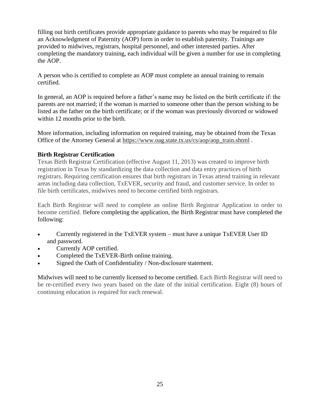filling out birth certificates provide appropriate guidance to parents who may be required to file an Acknowledgment of Paternity (AOP) form in order to establish paternity. Trainings are provided to midwives, registrars, hospital personnel, and other interested parties. After completing the mandatory training, each individual will be given a number for use in completing the AOP.

A person who is certified to complete an AOP must complete an annual training to remain certified.

In general, an AOP is required before a father's name may be listed on the birth certificate if: the parents are not married; if the woman is married to someone other than the person wishing to be listed as the father on the birth certificate; or if the woman was previously divorced or widowed within 12 months prior to the birth.

More information, including information on required training, may be obtained from the Texas Office of the Attorney General at [https://www.oag.state.tx.us/cs/aop/aop\\_train.shtml](http://www.oag.state.tx.us/cs/aop/aop_train.shtml) .

## **Birth Registrar Certification**

Texas Birth Registrar Certification (effective August 11, 2013) was created to improve birth registration in Texas by standardizing the data collection and data entry practices of birth registrars. Requiring certification ensures that birth registrars in Texas attend training in relevant areas including data collection, TxEVER, security and fraud, and customer service. In order to file birth certificates, midwives need to become certified birth registrars.

Each Birth Registrar will need to complete an online Birth Registrar Application in order to become certified. Before completing the application, the Birth Registrar must have completed the following:

- Currently registered in the TxEVER system must have a unique TxEVER User ID and password.
- Currently AOP certified.
- Completed the TxEVER-Birth online training.
- Signed the Oath of Confidentiality / Non-disclosure statement.

Midwives will need to be currently licensed to become certified. Each Birth Registrar will need to be re-certified every two years based on the date of the initial certification. Eight (8) hours of continuing education is required for each renewal.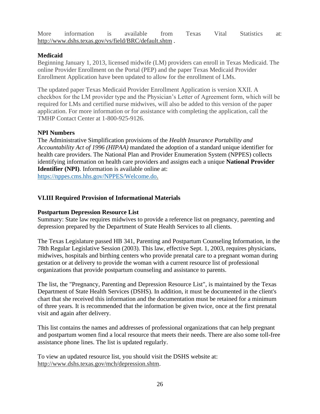More information is available from Texas Vital Statistics at: <http://www.dshs.texas.gov/vs/field/BRC/default.shtm> .

## **Medicaid**

Beginning January 1, 2013, licensed midwife (LM) providers can enroll in Texas Medicaid. The online Provider Enrollment on the Portal (PEP) and the paper Texas Medicaid Provider Enrollment Application have been updated to allow for the enrollment of LMs.

The updated paper Texas Medicaid Provider Enrollment Application is version XXII. A checkbox for the LM provider type and the Physician's Letter of Agreement form, which will be required for LMs and certified nurse midwives, will also be added to this version of the paper application. For more information or for assistance with completing the application, call the TMHP Contact Center at 1-800-925-9126.

# **NPI Numbers**

The Administrative Simplification provisions of the *Health Insurance Portability and Accountability Act of 1996 (HIPAA)* mandated the adoption of a standard unique identifier for health care providers. The National Plan and Provider Enumeration System (NPPES) collects identifying information on health care providers and assigns each a unique **National Provider Identifier (NPI)**. Information is available online at:

[https://nppes.cms.hhs.gov/NPPES/Welcome.do.](https://nppes.cms.hhs.gov/NPPES/Welcome.do)

# **VI.III Required Provision of Informational Materials**

## **Postpartum Depression Resource List**

Summary: State law requires midwives to provide a reference list on pregnancy, parenting and depression prepared by the Department of State Health Services to all clients.

The Texas Legislature passed HB 341, Parenting and Postpartum Counseling Information, in the 78th Regular Legislative Session (2003). This law, effective Sept. 1, 2003, requires physicians, midwives, hospitals and birthing centers who provide prenatal care to a pregnant woman during gestation or at delivery to provide the woman with a current resource list of professional organizations that provide postpartum counseling and assistance to parents.

The list, the "Pregnancy, Parenting and Depression Resource List", is maintained by the Texas Department of State Health Services (DSHS). In addition, it must be documented in the client's chart that she received this information and the documentation must be retained for a minimum of three years. It is recommended that the information be given twice, once at the first prenatal visit and again after delivery.

This list contains the names and addresses of professional organizations that can help pregnant and postpartum women find a local resource that meets their needs. There are also some toll-free assistance phone lines. The list is updated regularly.

To view an updated resource list, you should visit the DSHS website at: [http://www.dshs.texas.gov/mch/depression.shtm.](http://www.dshs.texas.gov/mch/depression.shtm)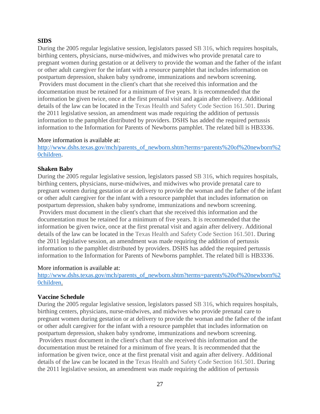#### **SIDS**

During the 2005 regular legislative session, legislators passed SB 316, which requires hospitals, birthing centers, physicians, nurse-midwives, and midwives who provide prenatal care to pregnant women during gestation or at delivery to provide the woman and the father of the infant or other adult caregiver for the infant with a resource pamphlet that includes information on postpartum depression, shaken baby syndrome, immunizations and newborn screening. Providers must document in the client's chart that she received this information and the documentation must be retained for a minimum of five years. It is recommended that the information be given twice, once at the first prenatal visit and again after delivery. Additional details of the law can be located in the Texas Health and Safety Code Section 161.501. During the 2011 legislative session, an amendment was made requiring the addition of pertussis information to the pamphlet distributed by providers. DSHS has added the required pertussis information to the Information for Parents of Newborns pamphlet. The related bill is HB3336.

#### More information is available at:

http://www.dshs.texas.gov/mch/parents\_of\_newborn.shtm?terms=parents%20of%20newborn%2 [0children.](http://www.dshs.texas.gov/mch/parents_of_newborn.shtm?terms=parents%20of%20newborn%252)

#### **Shaken Baby**

During the 2005 regular legislative session, legislators passed SB 316, which requires hospitals, birthing centers, physicians, nurse-midwives, and midwives who provide prenatal care to pregnant women during gestation or at delivery to provide the woman and the father of the infant or other adult caregiver for the infant with a resource pamphlet that includes information on postpartum depression, shaken baby syndrome, immunizations and newborn screening. Providers must document in the client's chart that she received this information and the documentation must be retained for a minimum of five years. It is recommended that the information be given twice, once at the first prenatal visit and again after delivery. Additional details of the law can be located in the Texas Health and Safety Code Section 161.501. During the 2011 legislative session, an amendment was made requiring the addition of pertussis information to the pamphlet distributed by providers. DSHS has added the required pertussis information to the Information for Parents of Newborns pamphlet. The related bill is HB3336.

#### More information is available at:

http://www.dshs.texas.gov/mch/parents\_of\_newborn.shtm?terms=parents%20of%20newborn%2 [0children.](http://www.dshs.texas.gov/mch/parents_of_newborn.shtm?terms=parents%20of%20newborn%252)

#### **Vaccine Schedule**

During the 2005 regular legislative session, legislators passed SB 316, which requires hospitals, birthing centers, physicians, nurse-midwives, and midwives who provide prenatal care to pregnant women during gestation or at delivery to provide the woman and the father of the infant or other adult caregiver for the infant with a resource pamphlet that includes information on postpartum depression, shaken baby syndrome, immunizations and newborn screening. Providers must document in the client's chart that she received this information and the documentation must be retained for a minimum of five years. It is recommended that the information be given twice, once at the first prenatal visit and again after delivery. Additional details of the law can be located in the Texas Health and Safety Code Section 161.501. During the 2011 legislative session, an amendment was made requiring the addition of pertussis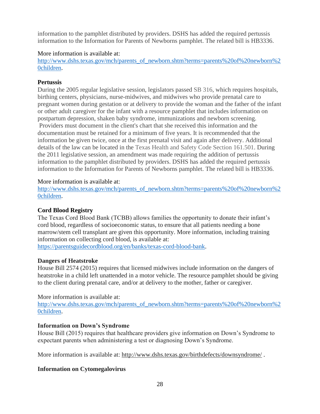information to the pamphlet distributed by providers. DSHS has added the required pertussis information to the Information for Parents of Newborns pamphlet. The related bill is HB3336.

#### More information is available at:

http://www.dshs.texas.gov/mch/parents\_of\_newborn.shtm?terms=parents%20of%20newborn%2 [0children.](http://www.dshs.texas.gov/mch/parents_of_newborn.shtm?terms=parents%20of%20newborn%252)

# **Pertussis**

During the 2005 regular legislative session, legislators passed SB 316, which requires hospitals, birthing centers, physicians, nurse-midwives, and midwives who provide prenatal care to pregnant women during gestation or at delivery to provide the woman and the father of the infant or other adult caregiver for the infant with a resource pamphlet that includes information on postpartum depression, shaken baby syndrome, immunizations and newborn screening. Providers must document in the client's chart that she received this information and the documentation must be retained for a minimum of five years. It is recommended that the information be given twice, once at the first prenatal visit and again after delivery. Additional details of the law can be located in the Texas Health and Safety Code Section 161.501. During the 2011 legislative session, an amendment was made requiring the addition of pertussis information to the pamphlet distributed by providers. DSHS has added the required pertussis information to the Information for Parents of Newborns pamphlet. The related bill is HB3336.

## More information is available at:

http://www.dshs.texas.gov/mch/parents\_of\_newborn.shtm?terms=parents%20of%20newborn%2 [0children.](http://www.dshs.texas.gov/mch/parents_of_newborn.shtm?terms=parents%20of%20newborn%252)

# **Cord Blood Registry**

The Texas Cord Blood Bank (TCBB) allows families the opportunity to donate their infant's cord blood, regardless of socioeconomic status, to ensure that all patients needing a bone marrow/stem cell transplant are given this opportunity. More information, including training information on collecting cord blood, is available at:

[https://parentsguidecordblood.org/en/banks/texas-cord-blood-bank.](https://parentsguidecordblood.org/en/banks/texas-cord-blood-bank)

## **Dangers of Heatstroke**

House Bill 2574 (2015) requires that licensed midwives include information on the dangers of heatstroke in a child left unattended in a motor vehicle. The resource pamphlet should be giving to the client during prenatal care, and/or at delivery to the mother, father or caregiver.

## More information is available at:

http://www.dshs.texas.gov/mch/parents\_of\_newborn.shtm?terms=parents%20of%20newborn%2 [0children.](http://www.dshs.texas.gov/mch/parents_of_newborn.shtm?terms=parents%20of%20newborn%252)

## **Information on Down's Syndrome**

House Bill (2015) requires that healthcare providers give information on Down's Syndrome to expectant parents when administering a test or diagnosing Down's Syndrome.

More information is available at: <http://www.dshs.texas.gov/birthdefects/downsyndrome/> .

# **Information on Cytomegalovirus**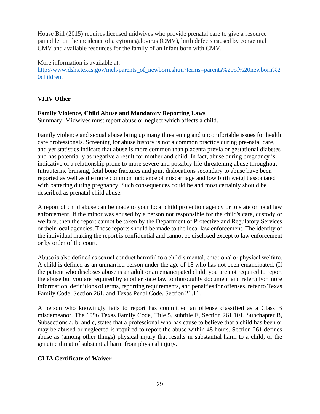House Bill (2015) requires licensed midwives who provide prenatal care to give a resource pamphlet on the incidence of a cytomegalovirus (CMV), birth defects caused by congenital CMV and available resources for the family of an infant born with CMV.

More information is available at:

[http://www.dshs.texas.gov/mch/parents\\_of\\_newborn.shtm?terms=parents%20of%20newborn%2](http://www.dshs.texas.gov/mch/parents_of_newborn.shtm?terms=parents%20of%20newborn%252)  [0children.](http://www.dshs.texas.gov/mch/parents_of_newborn.shtm?terms=parents%20of%20newborn%252)

# **VI.IV Other**

## **Family Violence, Child Abuse and Mandatory Reporting Laws**

Summary: Midwives must report abuse or neglect which affects a child.

Family violence and sexual abuse bring up many threatening and uncomfortable issues for health care professionals. Screening for abuse history is not a common practice during pre-natal care, and yet statistics indicate that abuse is more common than placenta previa or gestational diabetes and has potentially as negative a result for mother and child. In fact, abuse during pregnancy is indicative of a relationship prone to more severe and possibly life-threatening abuse throughout. Intrauterine bruising, fetal bone fractures and joint dislocations secondary to abuse have been reported as well as the more common incidence of miscarriage and low birth weight associated with battering during pregnancy. Such consequences could be and most certainly should be described as prenatal child abuse.

A report of child abuse can be made to your local child protection agency or to state or local law enforcement. If the minor was abused by a person not responsible for the child's care, custody or welfare, then the report cannot be taken by the Department of Protective and Regulatory Services or their local agencies. Those reports should be made to the local law enforcement. The identity of the individual making the report is confidential and cannot be disclosed except to law enforcement or by order of the court.

Abuse is also defined as sexual conduct harmful to a child's mental, emotional or physical welfare. A child is defined as an unmarried person under the age of 18 who has not been emancipated. (If the patient who discloses abuse is an adult or an emancipated child, you are not required to report the abuse but you are required by another state law to thoroughly document and refer.) For more information, definitions of terms, reporting requirements, and penalties for offenses, refer to Texas Family Code, Section 261, and Texas Penal Code, Section 21.11.

A person who knowingly fails to report has committed an offense classified as a Class B misdemeanor. The 1996 Texas Family Code, Title 5, subtitle E, Section 261.101, Subchapter B, Subsections a, b, and c, states that a professional who has cause to believe that a child has been or may be abused or neglected is required to report the abuse within 48 hours. Section 261 defines abuse as (among other things) physical injury that results in substantial harm to a child, or the genuine threat of substantial harm from physical injury.

# **CLIA Certificate of Waiver**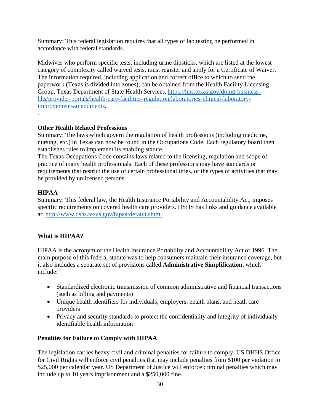Summary: This federal legislation requires that all types of lab testing be performed in accordance with federal standards.

Midwives who perform specific tests, including urine dipsticks, which are listed at the lowest category of complexity called waived tests, must register and apply for a Certificate of Waiver. The information required, including application and correct office to which to send the paperwork (Texas is divided into zones), can be obtained from the Health Facility Licensing Group, Texas Department of State Health Services, [https://hhs.texas.gov/doing-business](https://hhs.texas.gov/doing-business-hhs/provider-portals/health-care-facilities-regulation/laboratories-clinical-laboratory-improvement-amendments)[hhs/provider-portals/health-care-facilities-regulation/laboratories-clinical-laboratory](https://hhs.texas.gov/doing-business-hhs/provider-portals/health-care-facilities-regulation/laboratories-clinical-laboratory-improvement-amendments)[improvement-amendments.](https://hhs.texas.gov/doing-business-hhs/provider-portals/health-care-facilities-regulation/laboratories-clinical-laboratory-improvement-amendments)

# **Other Health Related Professions**

Summary: The laws which govern the regulation of health professions (including medicine, nursing, etc.) in Texas can now be found in the Occupations Code. Each regulatory board then establishes rules to implement its enabling statute.

The Texas Occupations Code contains laws related to the licensing, regulation and scope of practice of many health professionals. Each of these professions may have standards or requirements that restrict the use of certain professional titles, or the types of activities that may be provided by unlicensed persons.

# **HIPAA**

.

Summary: This federal law, the Health Insurance Portability and Accountability Act, imposes specific requirements on covered health care providers. DSHS has links and guidance available at: [http://www.dshs.texas.gov/hipaa/default.shtm.](http://www.dshs.texas.gov/hipaa/default.shtm)

# **What is HIPAA?**

HIPAA is the acronym of the Health Insurance Portability and Accountability Act of 1996. The main purpose of this federal statute was to help consumers maintain their insurance coverage, but it also includes a separate set of provisions called **Administrative Simplification**, which include:

- Standardized electronic transmission of common administrative and financial transactions (such as billing and payments)
- Unique health identifiers for individuals, employers, health plans, and heath care providers
- Privacy and security standards to protect the confidentiality and integrity of individually identifiable health information

# **Penalties for Failure to Comply with HIPAA**

The legislation carries heavy civil and criminal penalties for failure to comply. US DHHS Office for Civil Rights will enforce civil penalties that may include penalties from \$100 per violation to \$25,000 per calendar year. US Department of Justice will enforce criminal penalties which may include up to 10 years imprisonment and a \$250,000 fine.